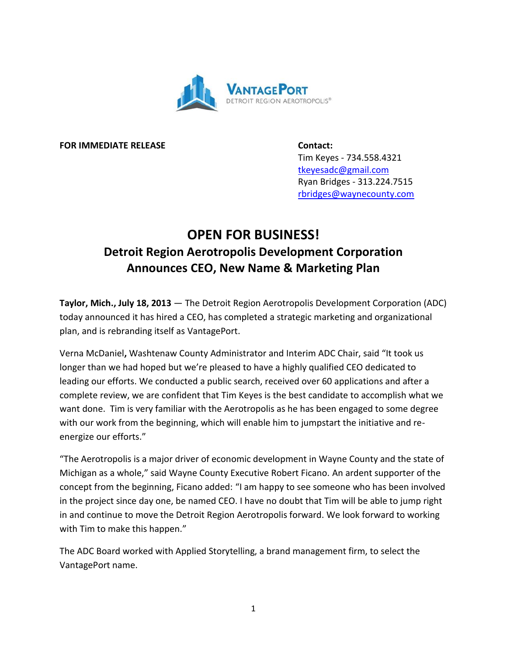

**FOR IMMEDIATE RELEASE Contact:**

Tim Keyes - 734.558.4321 [tkeyesadc@gmail.com](mailto:tkeyesadc@gmail.com) Ryan Bridges - 313.224.7515 [rbridges@waynecounty.com](mailto:rbridges@waynecounty.com)

## **OPEN FOR BUSINESS! Detroit Region Aerotropolis Development Corporation Announces CEO, New Name & Marketing Plan**

**Taylor, Mich., July 18, 2013** — The Detroit Region Aerotropolis Development Corporation (ADC) today announced it has hired a CEO, has completed a strategic marketing and organizational plan, and is rebranding itself as VantagePort.

Verna McDaniel**,** Washtenaw County Administrator and Interim ADC Chair, said "It took us longer than we had hoped but we're pleased to have a highly qualified CEO dedicated to leading our efforts. We conducted a public search, received over 60 applications and after a complete review, we are confident that Tim Keyes is the best candidate to accomplish what we want done. Tim is very familiar with the Aerotropolis as he has been engaged to some degree with our work from the beginning, which will enable him to jumpstart the initiative and reenergize our efforts."

"The Aerotropolis is a major driver of economic development in Wayne County and the state of Michigan as a whole," said Wayne County Executive Robert Ficano. An ardent supporter of the concept from the beginning, Ficano added: "I am happy to see someone who has been involved in the project since day one, be named CEO. I have no doubt that Tim will be able to jump right in and continue to move the Detroit Region Aerotropolis forward. We look forward to working with Tim to make this happen."

The ADC Board worked with Applied Storytelling, a brand management firm, to select the VantagePort name.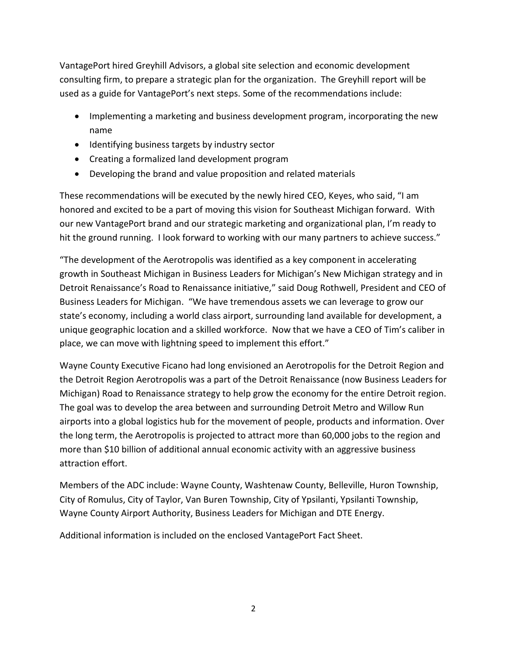VantagePort hired Greyhill Advisors, a global site selection and economic development consulting firm, to prepare a strategic plan for the organization. The Greyhill report will be used as a guide for VantagePort's next steps. Some of the recommendations include:

- Implementing a marketing and business development program, incorporating the new name
- Identifying business targets by industry sector
- Creating a formalized land development program
- Developing the brand and value proposition and related materials

These recommendations will be executed by the newly hired CEO, Keyes, who said, "I am honored and excited to be a part of moving this vision for Southeast Michigan forward. With our new VantagePort brand and our strategic marketing and organizational plan, I'm ready to hit the ground running. I look forward to working with our many partners to achieve success."

"The development of the Aerotropolis was identified as a key component in accelerating growth in Southeast Michigan in Business Leaders for Michigan's New Michigan strategy and in Detroit Renaissance's Road to Renaissance initiative," said Doug Rothwell, President and CEO of Business Leaders for Michigan. "We have tremendous assets we can leverage to grow our state's economy, including a world class airport, surrounding land available for development, a unique geographic location and a skilled workforce. Now that we have a CEO of Tim's caliber in place, we can move with lightning speed to implement this effort."

Wayne County Executive Ficano had long envisioned an Aerotropolis for the Detroit Region and the Detroit Region Aerotropolis was a part of the Detroit Renaissance (now Business Leaders for Michigan) Road to Renaissance strategy to help grow the economy for the entire Detroit region. The goal was to develop the area between and surrounding Detroit Metro and Willow Run airports into a global logistics hub for the movement of people, products and information. Over the long term, the Aerotropolis is projected to attract more than 60,000 jobs to the region and more than \$10 billion of additional annual economic activity with an aggressive business attraction effort.

Members of the ADC include: Wayne County, Washtenaw County, Belleville, Huron Township, City of Romulus, City of Taylor, Van Buren Township, City of Ypsilanti, Ypsilanti Township, Wayne County Airport Authority, Business Leaders for Michigan and DTE Energy.

Additional information is included on the enclosed VantagePort Fact Sheet.